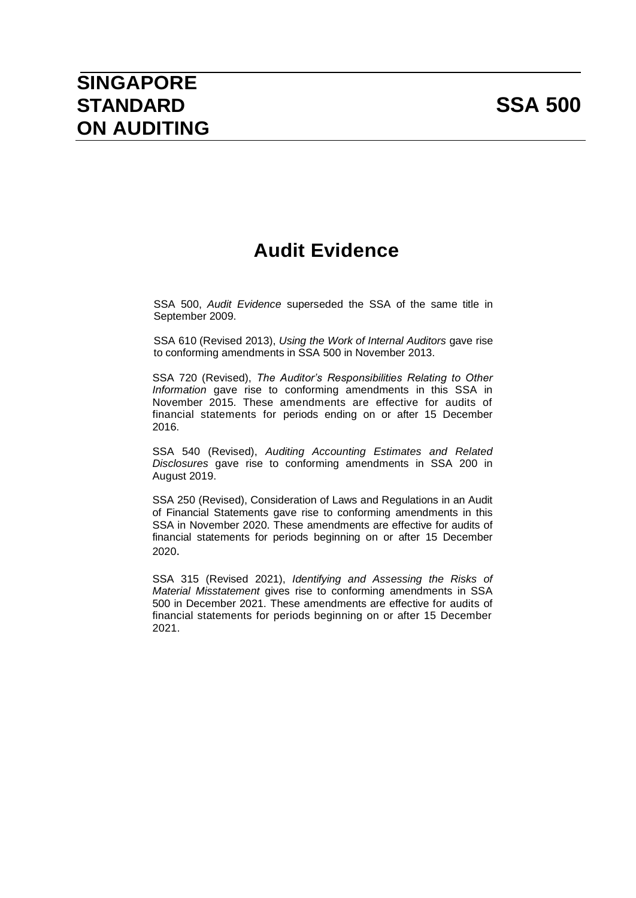# **Audit Evidence**

SSA 500, *Audit Evidence* superseded the SSA of the same title in September 2009.

SSA 610 (Revised 2013), *Using the Work of Internal Auditors* gave rise to conforming amendments in SSA 500 in November 2013.

SSA 720 (Revised), *The Auditor's Responsibilities Relating to Other Information* gave rise to conforming amendments in this SSA in November 2015. These amendments are effective for audits of financial statements for periods ending on or after 15 December 2016.

SSA 540 (Revised), *Auditing Accounting Estimates and Related Disclosures* gave rise to conforming amendments in SSA 200 in August 2019.

SSA 250 (Revised), Consideration of Laws and Regulations in an Audit of Financial Statements gave rise to conforming amendments in this SSA in November 2020. These amendments are effective for audits of financial statements for periods beginning on or after 15 December 2020.

SSA 315 (Revised 2021), *Identifying and Assessing the Risks of Material Misstatement* gives rise to conforming amendments in SSA 500 in December 2021. These amendments are effective for audits of financial statements for periods beginning on or after 15 December 2021.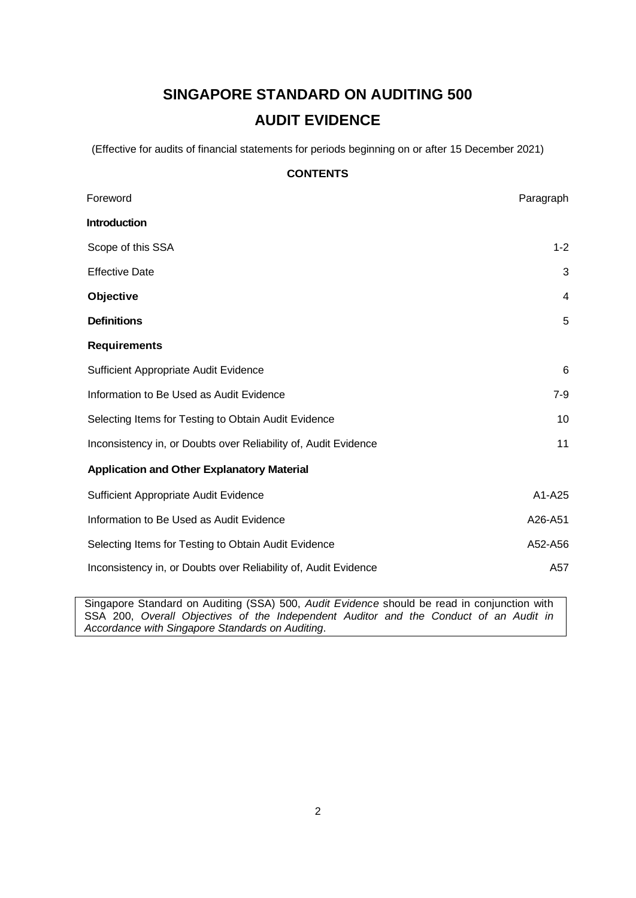# **SINGAPORE STANDARD ON AUDITING 500 AUDIT EVIDENCE**

(Effective for audits of financial statements for periods beginning on or after 15 December 2021)

#### **CONTENTS**

| Foreword                                                        | Paragraph      |
|-----------------------------------------------------------------|----------------|
| <b>Introduction</b>                                             |                |
| Scope of this SSA                                               | $1 - 2$        |
| <b>Effective Date</b>                                           | 3              |
| Objective                                                       | $\overline{4}$ |
| <b>Definitions</b>                                              | 5              |
| <b>Requirements</b>                                             |                |
| Sufficient Appropriate Audit Evidence                           | 6              |
| Information to Be Used as Audit Evidence                        | $7-9$          |
| Selecting Items for Testing to Obtain Audit Evidence            | 10             |
| Inconsistency in, or Doubts over Reliability of, Audit Evidence | 11             |
| <b>Application and Other Explanatory Material</b>               |                |
| Sufficient Appropriate Audit Evidence                           | A1-A25         |
| Information to Be Used as Audit Evidence                        | A26-A51        |
| Selecting Items for Testing to Obtain Audit Evidence            | A52-A56        |
| Inconsistency in, or Doubts over Reliability of, Audit Evidence | A57            |

Singapore Standard on Auditing (SSA) 500, *Audit Evidence* should be read in conjunction with SSA 200, *Overall Objectives of the Independent Auditor and the Conduct of an Audit in Accordance with Singapore Standards on Auditing*.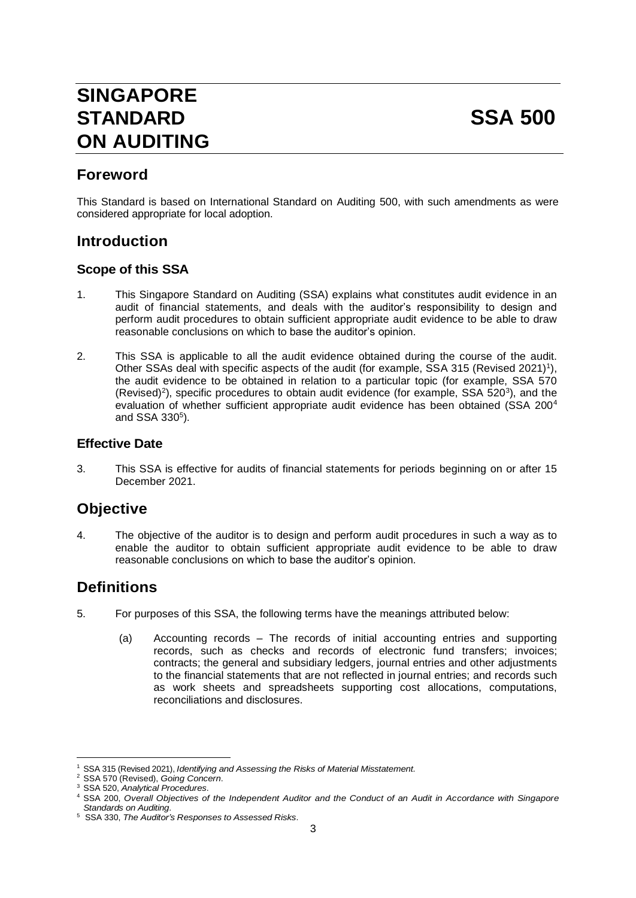# **SINGAPORE STANDARD SSA 500 ON AUDITING**

# **Foreword**

This Standard is based on International Standard on Auditing 500, with such amendments as were considered appropriate for local adoption.

# **Introduction**

# **Scope of this SSA**

- 1. This Singapore Standard on Auditing (SSA) explains what constitutes audit evidence in an audit of financial statements, and deals with the auditor's responsibility to design and perform audit procedures to obtain sufficient appropriate audit evidence to be able to draw reasonable conclusions on which to base the auditor's opinion.
- 2. This SSA is applicable to all the audit evidence obtained during the course of the audit. Other SSAs deal with specific aspects of the audit (for example, SSA 315 (Revised 2021)<sup>1</sup>), the audit evidence to be obtained in relation to a particular topic (for example, SSA 570 (Revised)<sup>2</sup>), specific procedures to obtain audit evidence (for example, SSA 520<sup>3</sup>), and the evaluation of whether sufficient appropriate audit evidence has been obtained (SSA 200<sup>4</sup> and SSA 330<sup>5</sup>).

# **Effective Date**

3. This SSA is effective for audits of financial statements for periods beginning on or after 15 December 2021.

# **Objective**

4. The objective of the auditor is to design and perform audit procedures in such a way as to enable the auditor to obtain sufficient appropriate audit evidence to be able to draw reasonable conclusions on which to base the auditor's opinion.

# **Definitions**

- 5. For purposes of this SSA, the following terms have the meanings attributed below:
	- (a) Accounting records The records of initial accounting entries and supporting records, such as checks and records of electronic fund transfers; invoices; contracts; the general and subsidiary ledgers, journal entries and other adjustments to the financial statements that are not reflected in journal entries; and records such as work sheets and spreadsheets supporting cost allocations, computations, reconciliations and disclosures.

<sup>1</sup> SSA 315 (Revised 2021), *Identifying and Assessing the Risks of Material Misstatement.*

<sup>2</sup> SSA 570 (Revised), *Going Concern*.

<sup>3</sup> SSA 520, *Analytical Procedures*.

<sup>4</sup> SSA 200, *Overall Objectives of the Independent Auditor and the Conduct of an Audit in Accordance with Singapore Standards on Auditing*.

<sup>5</sup> SSA 330, *The Auditor's Responses to Assessed Risks*.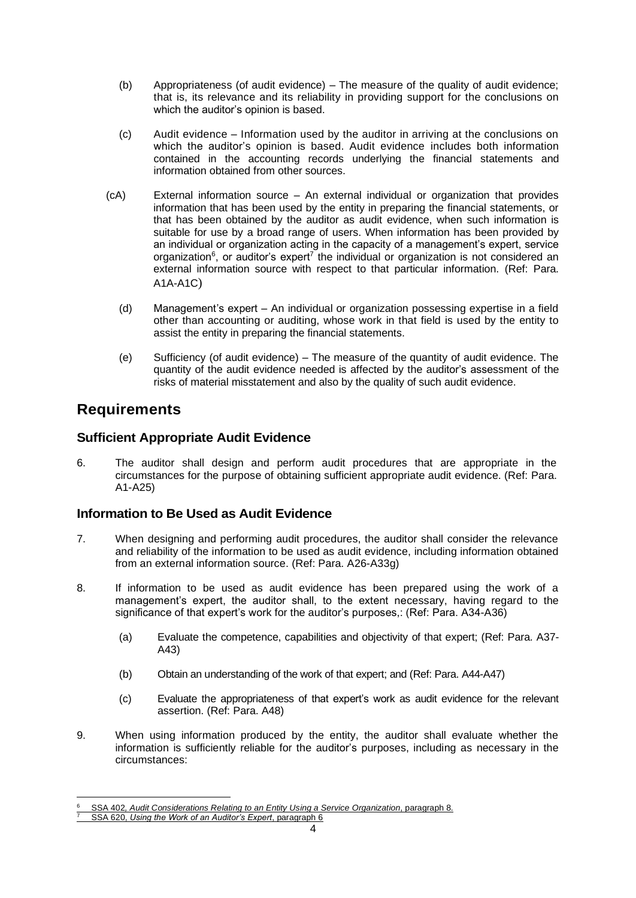- (b) Appropriateness (of audit evidence) The measure of the quality of audit evidence; that is, its relevance and its reliability in providing support for the conclusions on which the auditor's opinion is based.
- (c) Audit evidence Information used by the auditor in arriving at the conclusions on which the auditor's opinion is based. Audit evidence includes both information contained in the accounting records underlying the financial statements and information obtained from other sources.
- (cA) External information source An external individual or organization that provides information that has been used by the entity in preparing the financial statements, or that has been obtained by the auditor as audit evidence, when such information is suitable for use by a broad range of users. When information has been provided by an individual or organization acting in the capacity of a management's expert, service organization<sup>6</sup>, or auditor's expert<sup>7</sup> the individual or organization is not considered an external information source with respect to that particular information. (Ref: Para. A1A-A1C)
	- (d) Management's expert An individual or organization possessing expertise in a field other than accounting or auditing, whose work in that field is used by the entity to assist the entity in preparing the financial statements.
	- (e) Sufficiency (of audit evidence) The measure of the quantity of audit evidence. The quantity of the audit evidence needed is affected by the auditor's assessment of the risks of material misstatement and also by the quality of such audit evidence.

# **Requirements**

## **Sufficient Appropriate Audit Evidence**

6. The auditor shall design and perform audit procedures that are appropriate in the circumstances for the purpose of obtaining sufficient appropriate audit evidence. (Ref: Para. A1-A25)

## **Information to Be Used as Audit Evidence**

- 7. When designing and performing audit procedures, the auditor shall consider the relevance and reliability of the information to be used as audit evidence, including information obtained from an external information source. (Ref: Para. A26-A33g)
- 8. If information to be used as audit evidence has been prepared using the work of a management's expert, the auditor shall, to the extent necessary, having regard to the significance of that expert's work for the auditor's purposes,: (Ref: Para. A34-A36)
	- (a) Evaluate the competence, capabilities and objectivity of that expert; (Ref: Para. A37- A43)
	- (b) Obtain an understanding of the work of that expert; and (Ref: Para. A44-A47)
	- (c) Evaluate the appropriateness of that expert's work as audit evidence for the relevant assertion. (Ref: Para. A48)
- 9. When using information produced by the entity, the auditor shall evaluate whether the information is sufficiently reliable for the auditor's purposes, including as necessary in the circumstances:

<sup>6</sup> SSA 402*, Audit Considerations Relating to an Entity Using a Service Organization*, paragraph 8.

<sup>7</sup> SSA 620, *Using the Work of an Auditor's Expert*, paragraph 6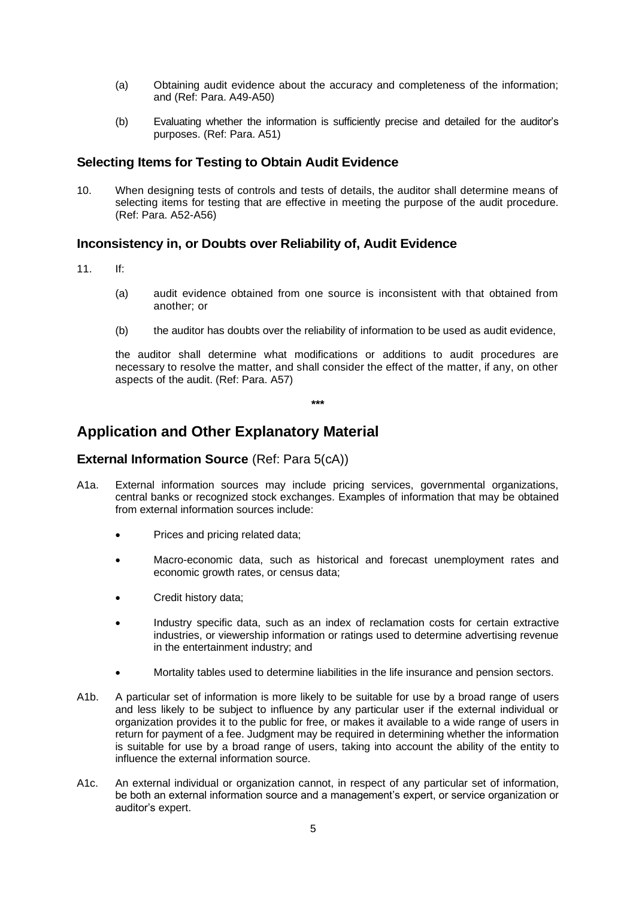- (a) Obtaining audit evidence about the accuracy and completeness of the information; and (Ref: Para. A49-A50)
- (b) Evaluating whether the information is sufficiently precise and detailed for the auditor's purposes. (Ref: Para. A51)

#### **Selecting Items for Testing to Obtain Audit Evidence**

10. When designing tests of controls and tests of details, the auditor shall determine means of selecting items for testing that are effective in meeting the purpose of the audit procedure. (Ref: Para. A52-A56)

#### **Inconsistency in, or Doubts over Reliability of, Audit Evidence**

- 11. If:
	- (a) audit evidence obtained from one source is inconsistent with that obtained from another; or
	- (b) the auditor has doubts over the reliability of information to be used as audit evidence,

the auditor shall determine what modifications or additions to audit procedures are necessary to resolve the matter, and shall consider the effect of the matter, if any, on other aspects of the audit. (Ref: Para. A57)

**\*\*\***

# **Application and Other Explanatory Material**

#### **External Information Source (Ref: Para 5(cA))**

- A1a. External information sources may include pricing services, governmental organizations, central banks or recognized stock exchanges. Examples of information that may be obtained from external information sources include:
	- Prices and pricing related data;
	- Macro-economic data, such as historical and forecast unemployment rates and economic growth rates, or census data;
	- Credit history data;
	- Industry specific data, such as an index of reclamation costs for certain extractive industries, or viewership information or ratings used to determine advertising revenue in the entertainment industry; and
	- Mortality tables used to determine liabilities in the life insurance and pension sectors.
- A1b. A particular set of information is more likely to be suitable for use by a broad range of users and less likely to be subject to influence by any particular user if the external individual or organization provides it to the public for free, or makes it available to a wide range of users in return for payment of a fee. Judgment may be required in determining whether the information is suitable for use by a broad range of users, taking into account the ability of the entity to influence the external information source.
- A1c. An external individual or organization cannot, in respect of any particular set of information, be both an external information source and a management's expert, or service organization or auditor's expert.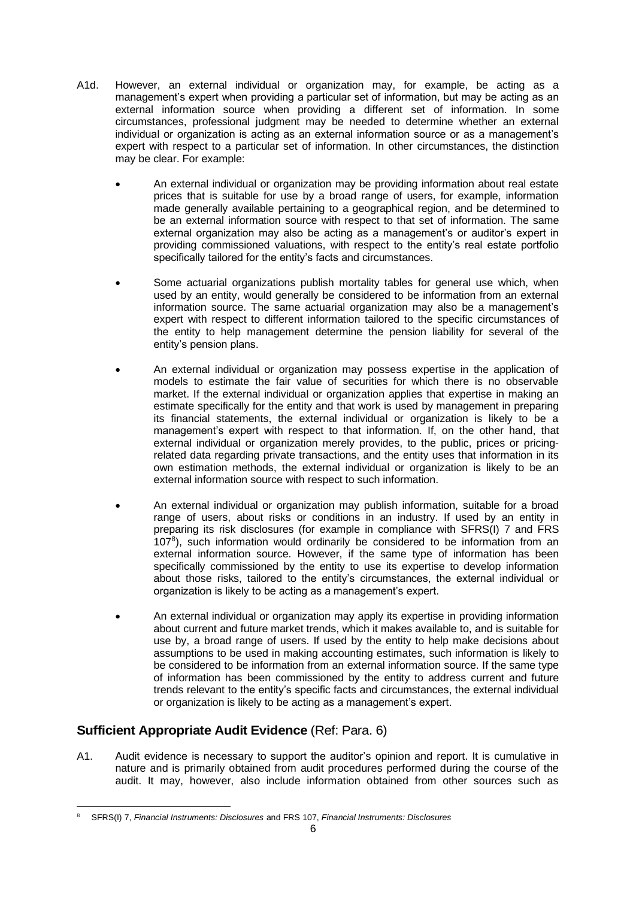- A1d. However, an external individual or organization may, for example, be acting as a management's expert when providing a particular set of information, but may be acting as an external information source when providing a different set of information. In some circumstances, professional judgment may be needed to determine whether an external individual or organization is acting as an external information source or as a management's expert with respect to a particular set of information. In other circumstances, the distinction may be clear. For example:
	- An external individual or organization may be providing information about real estate prices that is suitable for use by a broad range of users, for example, information made generally available pertaining to a geographical region, and be determined to be an external information source with respect to that set of information. The same external organization may also be acting as a management's or auditor's expert in providing commissioned valuations, with respect to the entity's real estate portfolio specifically tailored for the entity's facts and circumstances.
	- Some actuarial organizations publish mortality tables for general use which, when used by an entity, would generally be considered to be information from an external information source. The same actuarial organization may also be a management's expert with respect to different information tailored to the specific circumstances of the entity to help management determine the pension liability for several of the entity's pension plans.
	- An external individual or organization may possess expertise in the application of models to estimate the fair value of securities for which there is no observable market. If the external individual or organization applies that expertise in making an estimate specifically for the entity and that work is used by management in preparing its financial statements, the external individual or organization is likely to be a management's expert with respect to that information. If, on the other hand, that external individual or organization merely provides, to the public, prices or pricingrelated data regarding private transactions, and the entity uses that information in its own estimation methods, the external individual or organization is likely to be an external information source with respect to such information.
	- An external individual or organization may publish information, suitable for a broad range of users, about risks or conditions in an industry. If used by an entity in preparing its risk disclosures (for example in compliance with SFRS(I) 7 and FRS 107<sup>8</sup>), such information would ordinarily be considered to be information from an external information source. However, if the same type of information has been specifically commissioned by the entity to use its expertise to develop information about those risks, tailored to the entity's circumstances, the external individual or organization is likely to be acting as a management's expert.
	- An external individual or organization may apply its expertise in providing information about current and future market trends, which it makes available to, and is suitable for use by, a broad range of users. If used by the entity to help make decisions about assumptions to be used in making accounting estimates, such information is likely to be considered to be information from an external information source. If the same type of information has been commissioned by the entity to address current and future trends relevant to the entity's specific facts and circumstances, the external individual or organization is likely to be acting as a management's expert.

# **Sufficient Appropriate Audit Evidence** (Ref: Para. 6)

A1. Audit evidence is necessary to support the auditor's opinion and report. It is cumulative in nature and is primarily obtained from audit procedures performed during the course of the audit. It may, however, also include information obtained from other sources such as

<sup>8</sup> SFRS(I) 7, *Financial Instruments: Disclosures* and FRS 107, *Financial Instruments: Disclosures*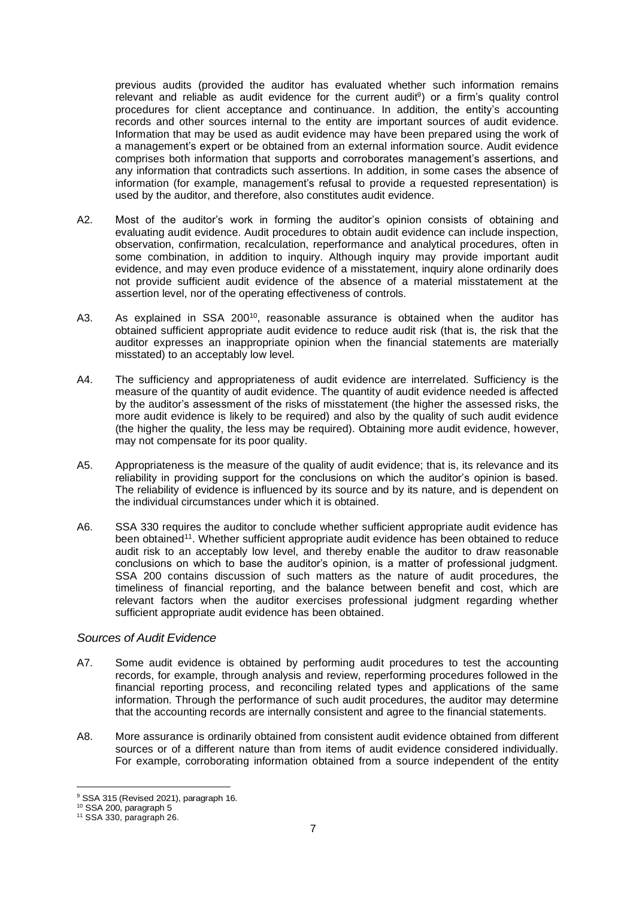previous audits (provided the auditor has evaluated whether such information remains relevant and reliable as audit evidence for the current audit<sup>9</sup>) or a firm's quality control procedures for client acceptance and continuance. In addition, the entity's accounting records and other sources internal to the entity are important sources of audit evidence. Information that may be used as audit evidence may have been prepared using the work of a management's expert or be obtained from an external information source. Audit evidence comprises both information that supports and corroborates management's assertions, and any information that contradicts such assertions. In addition, in some cases the absence of information (for example, management's refusal to provide a requested representation) is used by the auditor, and therefore, also constitutes audit evidence.

- A2. Most of the auditor's work in forming the auditor's opinion consists of obtaining and evaluating audit evidence. Audit procedures to obtain audit evidence can include inspection, observation, confirmation, recalculation, reperformance and analytical procedures, often in some combination, in addition to inquiry. Although inquiry may provide important audit evidence, and may even produce evidence of a misstatement, inquiry alone ordinarily does not provide sufficient audit evidence of the absence of a material misstatement at the assertion level, nor of the operating effectiveness of controls.
- A3. As explained in SSA 200<sup>10</sup>, reasonable assurance is obtained when the auditor has obtained sufficient appropriate audit evidence to reduce audit risk (that is, the risk that the auditor expresses an inappropriate opinion when the financial statements are materially misstated) to an acceptably low level.
- A4. The sufficiency and appropriateness of audit evidence are interrelated. Sufficiency is the measure of the quantity of audit evidence. The quantity of audit evidence needed is affected by the auditor's assessment of the risks of misstatement (the higher the assessed risks, the more audit evidence is likely to be required) and also by the quality of such audit evidence (the higher the quality, the less may be required). Obtaining more audit evidence, however, may not compensate for its poor quality.
- A5. Appropriateness is the measure of the quality of audit evidence; that is, its relevance and its reliability in providing support for the conclusions on which the auditor's opinion is based. The reliability of evidence is influenced by its source and by its nature, and is dependent on the individual circumstances under which it is obtained.
- A6. SSA 330 requires the auditor to conclude whether sufficient appropriate audit evidence has been obtained<sup>11</sup>. Whether sufficient appropriate audit evidence has been obtained to reduce audit risk to an acceptably low level, and thereby enable the auditor to draw reasonable conclusions on which to base the auditor's opinion, is a matter of professional judgment. SSA 200 contains discussion of such matters as the nature of audit procedures, the timeliness of financial reporting, and the balance between benefit and cost, which are relevant factors when the auditor exercises professional judgment regarding whether sufficient appropriate audit evidence has been obtained.

#### *Sources of Audit Evidence*

- A7. Some audit evidence is obtained by performing audit procedures to test the accounting records, for example, through analysis and review, reperforming procedures followed in the financial reporting process, and reconciling related types and applications of the same information. Through the performance of such audit procedures, the auditor may determine that the accounting records are internally consistent and agree to the financial statements.
- A8. More assurance is ordinarily obtained from consistent audit evidence obtained from different sources or of a different nature than from items of audit evidence considered individually. For example, corroborating information obtained from a source independent of the entity

<sup>9</sup> SSA 315 (Revised 2021), paragraph 16.

<sup>10</sup> SSA 200, paragraph 5

 $11$  SSA 330, paragraph 26.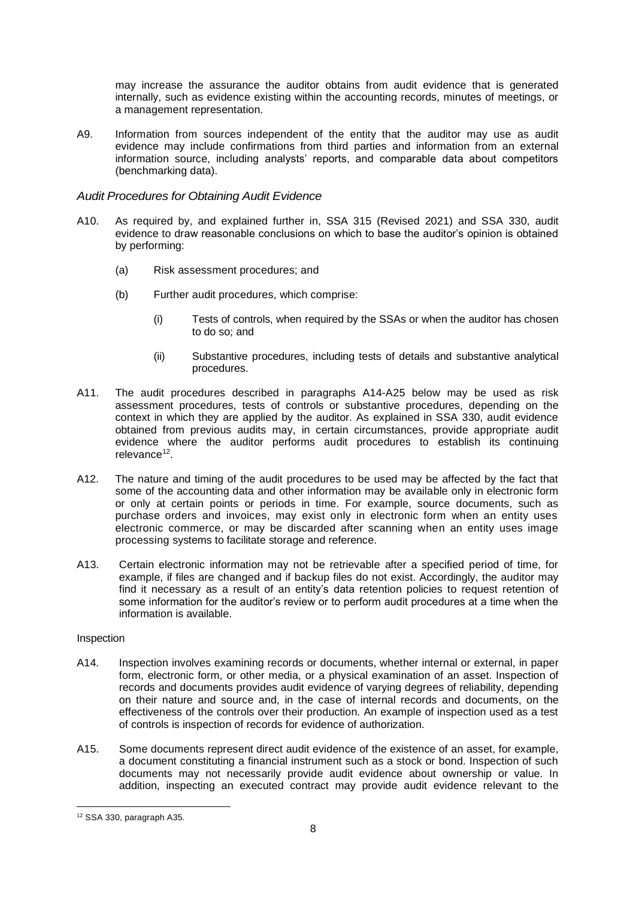may increase the assurance the auditor obtains from audit evidence that is generated internally, such as evidence existing within the accounting records, minutes of meetings, or a management representation.

A9. Information from sources independent of the entity that the auditor may use as audit evidence may include confirmations from third parties and information from an external information source, including analysts' reports, and comparable data about competitors (benchmarking data).

#### *Audit Procedures for Obtaining Audit Evidence*

- A10. As required by, and explained further in, SSA 315 (Revised 2021) and SSA 330, audit evidence to draw reasonable conclusions on which to base the auditor's opinion is obtained by performing:
	- (a) Risk assessment procedures; and
	- (b) Further audit procedures, which comprise:
		- (i) Tests of controls, when required by the SSAs or when the auditor has chosen to do so; and
		- (ii) Substantive procedures, including tests of details and substantive analytical procedures.
- A11. The audit procedures described in paragraphs A14-A25 below may be used as risk assessment procedures, tests of controls or substantive procedures, depending on the context in which they are applied by the auditor. As explained in SSA 330, audit evidence obtained from previous audits may, in certain circumstances, provide appropriate audit evidence where the auditor performs audit procedures to establish its continuing relevance<sup>12</sup>.
- A12. The nature and timing of the audit procedures to be used may be affected by the fact that some of the accounting data and other information may be available only in electronic form or only at certain points or periods in time. For example, source documents, such as purchase orders and invoices, may exist only in electronic form when an entity uses electronic commerce, or may be discarded after scanning when an entity uses image processing systems to facilitate storage and reference.
- A13. Certain electronic information may not be retrievable after a specified period of time, for example, if files are changed and if backup files do not exist. Accordingly, the auditor may find it necessary as a result of an entity's data retention policies to request retention of some information for the auditor's review or to perform audit procedures at a time when the information is available.

#### Inspection

- A14. Inspection involves examining records or documents, whether internal or external, in paper form, electronic form, or other media, or a physical examination of an asset. Inspection of records and documents provides audit evidence of varying degrees of reliability, depending on their nature and source and, in the case of internal records and documents, on the effectiveness of the controls over their production. An example of inspection used as a test of controls is inspection of records for evidence of authorization.
- A15. Some documents represent direct audit evidence of the existence of an asset, for example, a document constituting a financial instrument such as a stock or bond. Inspection of such documents may not necessarily provide audit evidence about ownership or value. In addition, inspecting an executed contract may provide audit evidence relevant to the

<sup>12</sup> SSA 330, paragraph A35.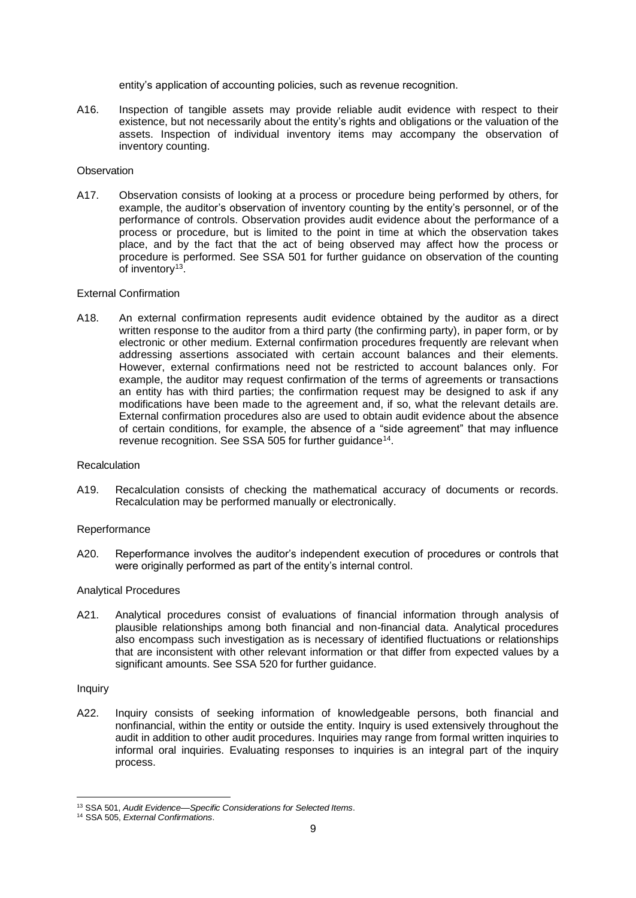entity's application of accounting policies, such as revenue recognition.

A16. Inspection of tangible assets may provide reliable audit evidence with respect to their existence, but not necessarily about the entity's rights and obligations or the valuation of the assets. Inspection of individual inventory items may accompany the observation of inventory counting.

#### **Observation**

A17. Observation consists of looking at a process or procedure being performed by others, for example, the auditor's observation of inventory counting by the entity's personnel, or of the performance of controls. Observation provides audit evidence about the performance of a process or procedure, but is limited to the point in time at which the observation takes place, and by the fact that the act of being observed may affect how the process or procedure is performed. See SSA 501 for further guidance on observation of the counting of inventory<sup>13</sup>.

#### External Confirmation

A18. An external confirmation represents audit evidence obtained by the auditor as a direct written response to the auditor from a third party (the confirming party), in paper form, or by electronic or other medium. External confirmation procedures frequently are relevant when addressing assertions associated with certain account balances and their elements. However, external confirmations need not be restricted to account balances only. For example, the auditor may request confirmation of the terms of agreements or transactions an entity has with third parties; the confirmation request may be designed to ask if any modifications have been made to the agreement and, if so, what the relevant details are. External confirmation procedures also are used to obtain audit evidence about the absence of certain conditions, for example, the absence of a "side agreement" that may influence revenue recognition. See SSA 505 for further guidance<sup>14</sup>.

#### **Recalculation**

A19. Recalculation consists of checking the mathematical accuracy of documents or records. Recalculation may be performed manually or electronically.

#### Reperformance

A20. Reperformance involves the auditor's independent execution of procedures or controls that were originally performed as part of the entity's internal control.

#### Analytical Procedures

A21. Analytical procedures consist of evaluations of financial information through analysis of plausible relationships among both financial and non-financial data. Analytical procedures also encompass such investigation as is necessary of identified fluctuations or relationships that are inconsistent with other relevant information or that differ from expected values by a significant amounts. See SSA 520 for further guidance.

#### Inquiry

A22. Inquiry consists of seeking information of knowledgeable persons, both financial and nonfinancial, within the entity or outside the entity. Inquiry is used extensively throughout the audit in addition to other audit procedures. Inquiries may range from formal written inquiries to informal oral inquiries. Evaluating responses to inquiries is an integral part of the inquiry process.

<sup>13</sup> SSA 501, *Audit Evidence—Specific Considerations for Selected Items*.

<sup>14</sup> SSA 505, *External Confirmations*.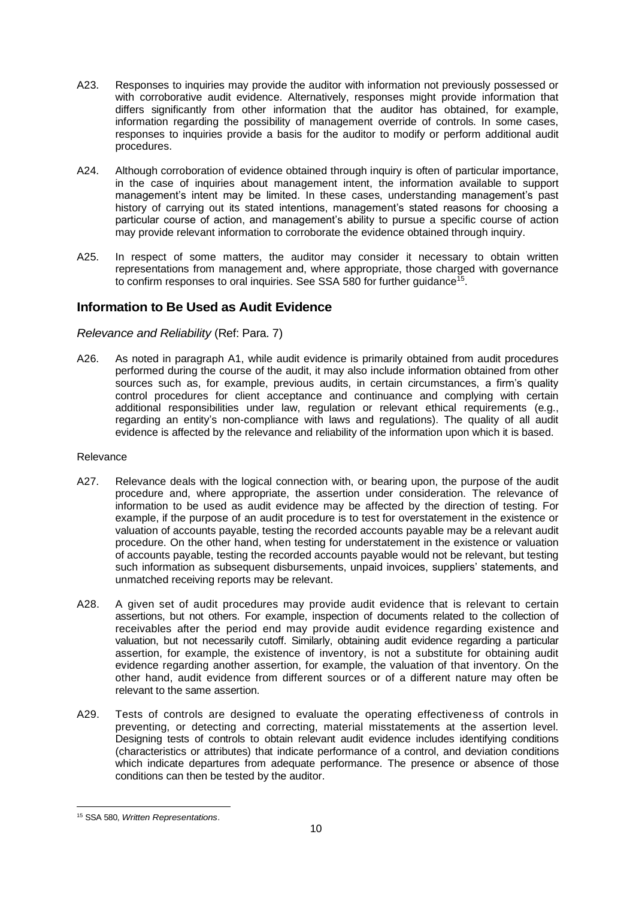- A23. Responses to inquiries may provide the auditor with information not previously possessed or with corroborative audit evidence. Alternatively, responses might provide information that differs significantly from other information that the auditor has obtained, for example, information regarding the possibility of management override of controls. In some cases, responses to inquiries provide a basis for the auditor to modify or perform additional audit procedures.
- A24. Although corroboration of evidence obtained through inquiry is often of particular importance, in the case of inquiries about management intent, the information available to support management's intent may be limited. In these cases, understanding management's past history of carrying out its stated intentions, management's stated reasons for choosing a particular course of action, and management's ability to pursue a specific course of action may provide relevant information to corroborate the evidence obtained through inquiry.
- A25. In respect of some matters, the auditor may consider it necessary to obtain written representations from management and, where appropriate, those charged with governance to confirm responses to oral inquiries. See SSA 580 for further guidance<sup>15</sup>.

## **Information to Be Used as Audit Evidence**

#### *Relevance and Reliability* (Ref: Para. 7)

A26. As noted in paragraph A1, while audit evidence is primarily obtained from audit procedures performed during the course of the audit, it may also include information obtained from other sources such as, for example, previous audits, in certain circumstances, a firm's quality control procedures for client acceptance and continuance and complying with certain additional responsibilities under law, regulation or relevant ethical requirements (e.g., regarding an entity's non-compliance with laws and regulations). The quality of all audit evidence is affected by the relevance and reliability of the information upon which it is based.

#### Relevance

- A27. Relevance deals with the logical connection with, or bearing upon, the purpose of the audit procedure and, where appropriate, the assertion under consideration. The relevance of information to be used as audit evidence may be affected by the direction of testing. For example, if the purpose of an audit procedure is to test for overstatement in the existence or valuation of accounts payable, testing the recorded accounts payable may be a relevant audit procedure. On the other hand, when testing for understatement in the existence or valuation of accounts payable, testing the recorded accounts payable would not be relevant, but testing such information as subsequent disbursements, unpaid invoices, suppliers' statements, and unmatched receiving reports may be relevant.
- A28. A given set of audit procedures may provide audit evidence that is relevant to certain assertions, but not others. For example, inspection of documents related to the collection of receivables after the period end may provide audit evidence regarding existence and valuation, but not necessarily cutoff. Similarly, obtaining audit evidence regarding a particular assertion, for example, the existence of inventory, is not a substitute for obtaining audit evidence regarding another assertion, for example, the valuation of that inventory. On the other hand, audit evidence from different sources or of a different nature may often be relevant to the same assertion.
- A29. Tests of controls are designed to evaluate the operating effectiveness of controls in preventing, or detecting and correcting, material misstatements at the assertion level. Designing tests of controls to obtain relevant audit evidence includes identifying conditions (characteristics or attributes) that indicate performance of a control, and deviation conditions which indicate departures from adequate performance. The presence or absence of those conditions can then be tested by the auditor.

<sup>15</sup> SSA 580, *Written Representations*.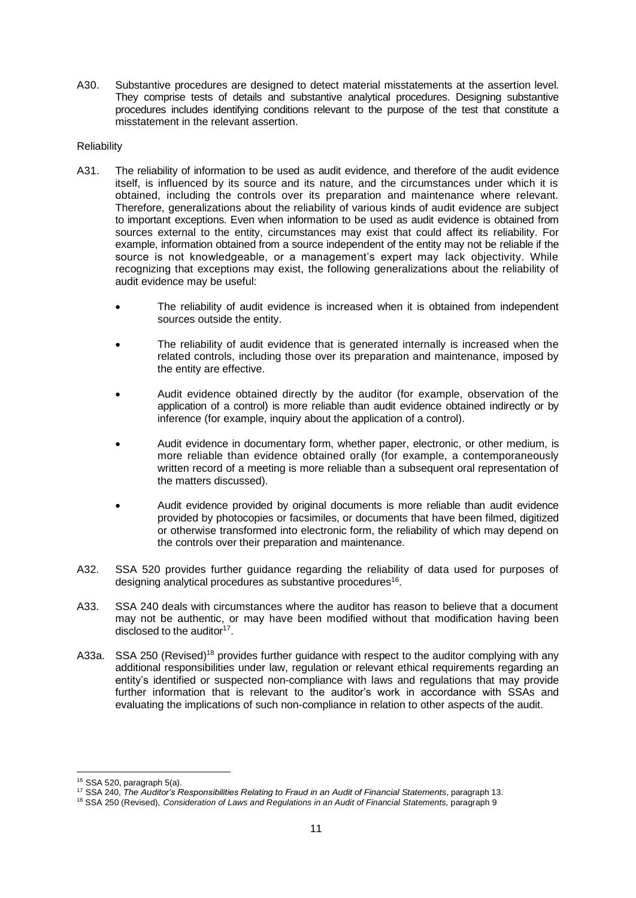A30. Substantive procedures are designed to detect material misstatements at the assertion level. They comprise tests of details and substantive analytical procedures. Designing substantive procedures includes identifying conditions relevant to the purpose of the test that constitute a misstatement in the relevant assertion.

#### **Reliability**

- A31. The reliability of information to be used as audit evidence, and therefore of the audit evidence itself, is influenced by its source and its nature, and the circumstances under which it is obtained, including the controls over its preparation and maintenance where relevant. Therefore, generalizations about the reliability of various kinds of audit evidence are subject to important exceptions. Even when information to be used as audit evidence is obtained from sources external to the entity, circumstances may exist that could affect its reliability. For example, information obtained from a source independent of the entity may not be reliable if the source is not knowledgeable, or a management's expert may lack objectivity. While recognizing that exceptions may exist, the following generalizations about the reliability of audit evidence may be useful:
	- The reliability of audit evidence is increased when it is obtained from independent sources outside the entity.
	- The reliability of audit evidence that is generated internally is increased when the related controls, including those over its preparation and maintenance, imposed by the entity are effective.
	- Audit evidence obtained directly by the auditor (for example, observation of the application of a control) is more reliable than audit evidence obtained indirectly or by inference (for example, inquiry about the application of a control).
	- Audit evidence in documentary form, whether paper, electronic, or other medium, is more reliable than evidence obtained orally (for example, a contemporaneously written record of a meeting is more reliable than a subsequent oral representation of the matters discussed).
	- Audit evidence provided by original documents is more reliable than audit evidence provided by photocopies or facsimiles, or documents that have been filmed, digitized or otherwise transformed into electronic form, the reliability of which may depend on the controls over their preparation and maintenance.
- A32. SSA 520 provides further guidance regarding the reliability of data used for purposes of designing analytical procedures as substantive procedures<sup>16</sup>.
- A33. SSA 240 deals with circumstances where the auditor has reason to believe that a document may not be authentic, or may have been modified without that modification having been disclosed to the auditor<sup>17</sup>.
- A33a. SSA 250 (Revised)<sup>18</sup> provides further guidance with respect to the auditor complying with any additional responsibilities under law, regulation or relevant ethical requirements regarding an entity's identified or suspected non-compliance with laws and regulations that may provide further information that is relevant to the auditor's work in accordance with SSAs and evaluating the implications of such non-compliance in relation to other aspects of the audit.

 $16$  SSA 520, paragraph 5(a).

<sup>17</sup> SSA 240, *The Auditor's Responsibilities Relating to Fraud in an Audit of Financial Statements*, paragraph 13.

<sup>&</sup>lt;sup>18</sup> SSA 250 (Revised), *Consideration of Laws and Regulations in an Audit of Financial Statements, paragraph 9*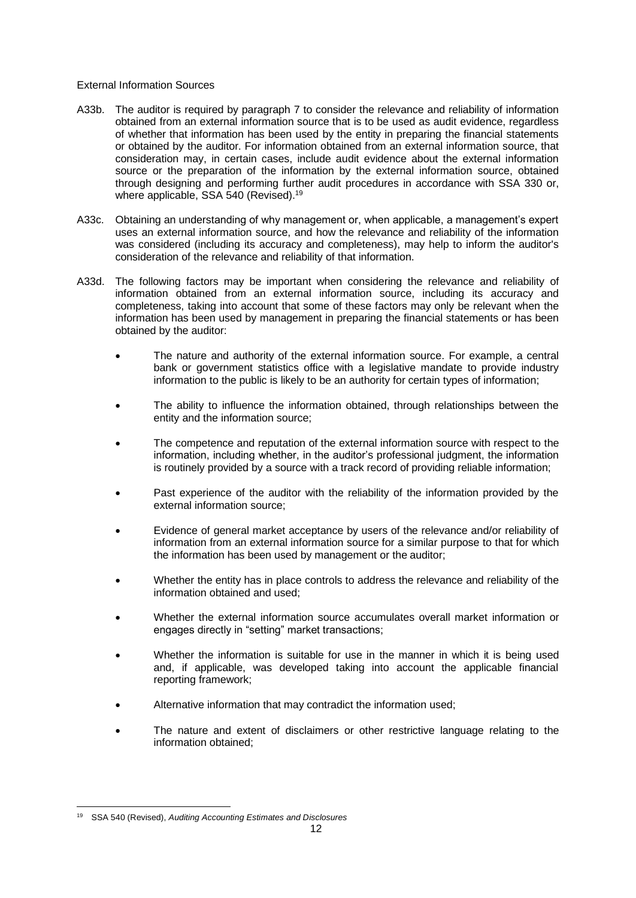#### External Information Sources

- A33b. The auditor is required by paragraph 7 to consider the relevance and reliability of information obtained from an external information source that is to be used as audit evidence, regardless of whether that information has been used by the entity in preparing the financial statements or obtained by the auditor. For information obtained from an external information source, that consideration may, in certain cases, include audit evidence about the external information source or the preparation of the information by the external information source, obtained through designing and performing further audit procedures in accordance with SSA 330 or, where applicable, SSA 540 (Revised).<sup>19</sup>
- A33c. Obtaining an understanding of why management or, when applicable, a management's expert uses an external information source, and how the relevance and reliability of the information was considered (including its accuracy and completeness), may help to inform the auditor's consideration of the relevance and reliability of that information.
- A33d. The following factors may be important when considering the relevance and reliability of information obtained from an external information source, including its accuracy and completeness, taking into account that some of these factors may only be relevant when the information has been used by management in preparing the financial statements or has been obtained by the auditor:
	- The nature and authority of the external information source. For example, a central bank or government statistics office with a legislative mandate to provide industry information to the public is likely to be an authority for certain types of information;
	- The ability to influence the information obtained, through relationships between the entity and the information source;
	- The competence and reputation of the external information source with respect to the information, including whether, in the auditor's professional judgment, the information is routinely provided by a source with a track record of providing reliable information;
	- Past experience of the auditor with the reliability of the information provided by the external information source;
	- Evidence of general market acceptance by users of the relevance and/or reliability of information from an external information source for a similar purpose to that for which the information has been used by management or the auditor;
	- Whether the entity has in place controls to address the relevance and reliability of the information obtained and used;
	- Whether the external information source accumulates overall market information or engages directly in "setting" market transactions;
	- Whether the information is suitable for use in the manner in which it is being used and, if applicable, was developed taking into account the applicable financial reporting framework;
	- Alternative information that may contradict the information used;
	- The nature and extent of disclaimers or other restrictive language relating to the information obtained;

<sup>19</sup> SSA 540 (Revised), *Auditing Accounting Estimates and Disclosures*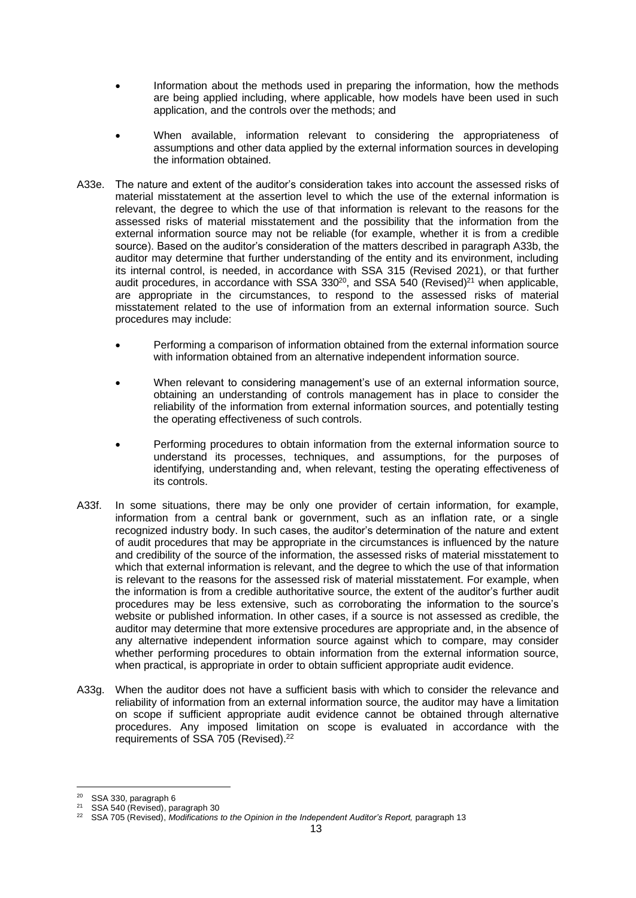- Information about the methods used in preparing the information, how the methods are being applied including, where applicable, how models have been used in such application, and the controls over the methods; and
- When available, information relevant to considering the appropriateness of assumptions and other data applied by the external information sources in developing the information obtained.
- A33e. The nature and extent of the auditor's consideration takes into account the assessed risks of material misstatement at the assertion level to which the use of the external information is relevant, the degree to which the use of that information is relevant to the reasons for the assessed risks of material misstatement and the possibility that the information from the external information source may not be reliable (for example, whether it is from a credible source). Based on the auditor's consideration of the matters described in paragraph A33b, the auditor may determine that further understanding of the entity and its environment, including its internal control, is needed, in accordance with SSA 315 (Revised 2021), or that further audit procedures, in accordance with SSA 330 $^{20}$ , and SSA 540 (Revised)<sup>21</sup> when applicable, are appropriate in the circumstances, to respond to the assessed risks of material misstatement related to the use of information from an external information source. Such procedures may include:
	- Performing a comparison of information obtained from the external information source with information obtained from an alternative independent information source.
	- When relevant to considering management's use of an external information source, obtaining an understanding of controls management has in place to consider the reliability of the information from external information sources, and potentially testing the operating effectiveness of such controls.
	- Performing procedures to obtain information from the external information source to understand its processes, techniques, and assumptions, for the purposes of identifying, understanding and, when relevant, testing the operating effectiveness of its controls.
- A33f. In some situations, there may be only one provider of certain information, for example, information from a central bank or government, such as an inflation rate, or a single recognized industry body. In such cases, the auditor's determination of the nature and extent of audit procedures that may be appropriate in the circumstances is influenced by the nature and credibility of the source of the information, the assessed risks of material misstatement to which that external information is relevant, and the degree to which the use of that information is relevant to the reasons for the assessed risk of material misstatement. For example, when the information is from a credible authoritative source, the extent of the auditor's further audit procedures may be less extensive, such as corroborating the information to the source's website or published information. In other cases, if a source is not assessed as credible, the auditor may determine that more extensive procedures are appropriate and, in the absence of any alternative independent information source against which to compare, may consider whether performing procedures to obtain information from the external information source, when practical, is appropriate in order to obtain sufficient appropriate audit evidence.
- A33g. When the auditor does not have a sufficient basis with which to consider the relevance and reliability of information from an external information source, the auditor may have a limitation on scope if sufficient appropriate audit evidence cannot be obtained through alternative procedures. Any imposed limitation on scope is evaluated in accordance with the requirements of SSA 705 (Revised).<sup>22</sup>

<sup>20</sup> SSA 330, paragraph 6

<sup>&</sup>lt;sup>21</sup> SSA 540 (Revised), paragraph 30

<sup>22</sup> SSA 705 (Revised), *Modifications to the Opinion in the Independent Auditor's Report,* paragraph 13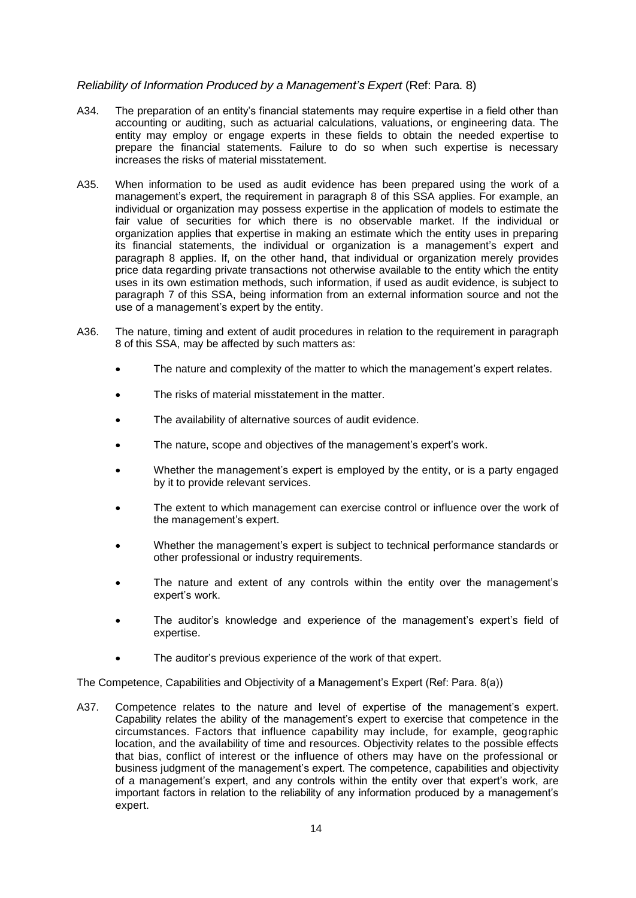#### *Reliability of Information Produced by a Management's Expert* (Ref: Para. 8)

- A34. The preparation of an entity's financial statements may require expertise in a field other than accounting or auditing, such as actuarial calculations, valuations, or engineering data. The entity may employ or engage experts in these fields to obtain the needed expertise to prepare the financial statements. Failure to do so when such expertise is necessary increases the risks of material misstatement.
- A35. When information to be used as audit evidence has been prepared using the work of a management's expert, the requirement in paragraph 8 of this SSA applies. For example, an individual or organization may possess expertise in the application of models to estimate the fair value of securities for which there is no observable market. If the individual or organization applies that expertise in making an estimate which the entity uses in preparing its financial statements, the individual or organization is a management's expert and paragraph 8 applies. If, on the other hand, that individual or organization merely provides price data regarding private transactions not otherwise available to the entity which the entity uses in its own estimation methods, such information, if used as audit evidence, is subject to paragraph 7 of this SSA, being information from an external information source and not the use of a management's expert by the entity.
- A36. The nature, timing and extent of audit procedures in relation to the requirement in paragraph 8 of this SSA, may be affected by such matters as:
	- The nature and complexity of the matter to which the management's expert relates.
	- The risks of material misstatement in the matter.
	- The availability of alternative sources of audit evidence.
	- The nature, scope and objectives of the management's expert's work.
	- Whether the management's expert is employed by the entity, or is a party engaged by it to provide relevant services.
	- The extent to which management can exercise control or influence over the work of the management's expert.
	- Whether the management's expert is subject to technical performance standards or other professional or industry requirements.
	- The nature and extent of any controls within the entity over the management's expert's work.
	- The auditor's knowledge and experience of the management's expert's field of expertise.
	- The auditor's previous experience of the work of that expert.

The Competence, Capabilities and Objectivity of a Management's Expert (Ref: Para. 8(a))

A37. Competence relates to the nature and level of expertise of the management's expert. Capability relates the ability of the management's expert to exercise that competence in the circumstances. Factors that influence capability may include, for example, geographic location, and the availability of time and resources. Objectivity relates to the possible effects that bias, conflict of interest or the influence of others may have on the professional or business judgment of the management's expert. The competence, capabilities and objectivity of a management's expert, and any controls within the entity over that expert's work, are important factors in relation to the reliability of any information produced by a management's expert.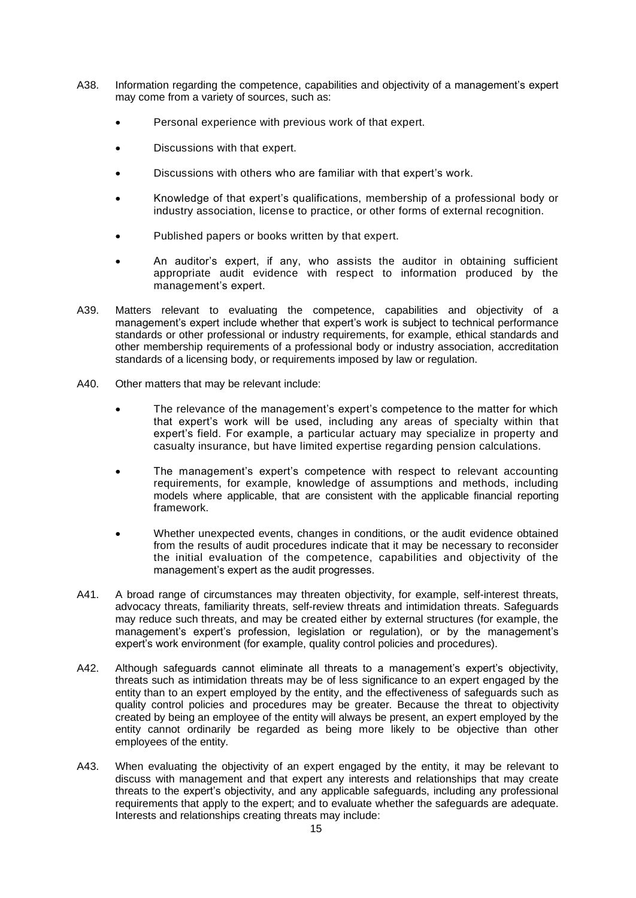- A38. Information regarding the competence, capabilities and objectivity of a management's expert may come from a variety of sources, such as:
	- Personal experience with previous work of that expert.
	- Discussions with that expert.
	- Discussions with others who are familiar with that expert's work.
	- Knowledge of that expert's qualifications, membership of a professional body or industry association, license to practice, or other forms of external recognition.
	- Published papers or books written by that expert.
	- An auditor's expert, if any, who assists the auditor in obtaining sufficient appropriate audit evidence with respect to information produced by the management's expert.
- A39. Matters relevant to evaluating the competence, capabilities and objectivity of a management's expert include whether that expert's work is subject to technical performance standards or other professional or industry requirements, for example, ethical standards and other membership requirements of a professional body or industry association, accreditation standards of a licensing body, or requirements imposed by law or regulation.
- A40. Other matters that may be relevant include:
	- The relevance of the management's expert's competence to the matter for which that expert's work will be used, including any areas of specialty within that expert's field. For example, a particular actuary may specialize in property and casualty insurance, but have limited expertise regarding pension calculations.
	- The management's expert's competence with respect to relevant accounting requirements, for example, knowledge of assumptions and methods, including models where applicable, that are consistent with the applicable financial reporting framework.
	- Whether unexpected events, changes in conditions, or the audit evidence obtained from the results of audit procedures indicate that it may be necessary to reconsider the initial evaluation of the competence, capabilities and objectivity of the management's expert as the audit progresses.
- A41. A broad range of circumstances may threaten objectivity, for example, self-interest threats, advocacy threats, familiarity threats, self-review threats and intimidation threats. Safeguards may reduce such threats, and may be created either by external structures (for example, the management's expert's profession, legislation or regulation), or by the management's expert's work environment (for example, quality control policies and procedures).
- A42. Although safeguards cannot eliminate all threats to a management's expert's objectivity, threats such as intimidation threats may be of less significance to an expert engaged by the entity than to an expert employed by the entity, and the effectiveness of safeguards such as quality control policies and procedures may be greater. Because the threat to objectivity created by being an employee of the entity will always be present, an expert employed by the entity cannot ordinarily be regarded as being more likely to be objective than other employees of the entity.
- A43. When evaluating the objectivity of an expert engaged by the entity, it may be relevant to discuss with management and that expert any interests and relationships that may create threats to the expert's objectivity, and any applicable safeguards, including any professional requirements that apply to the expert; and to evaluate whether the safeguards are adequate. Interests and relationships creating threats may include: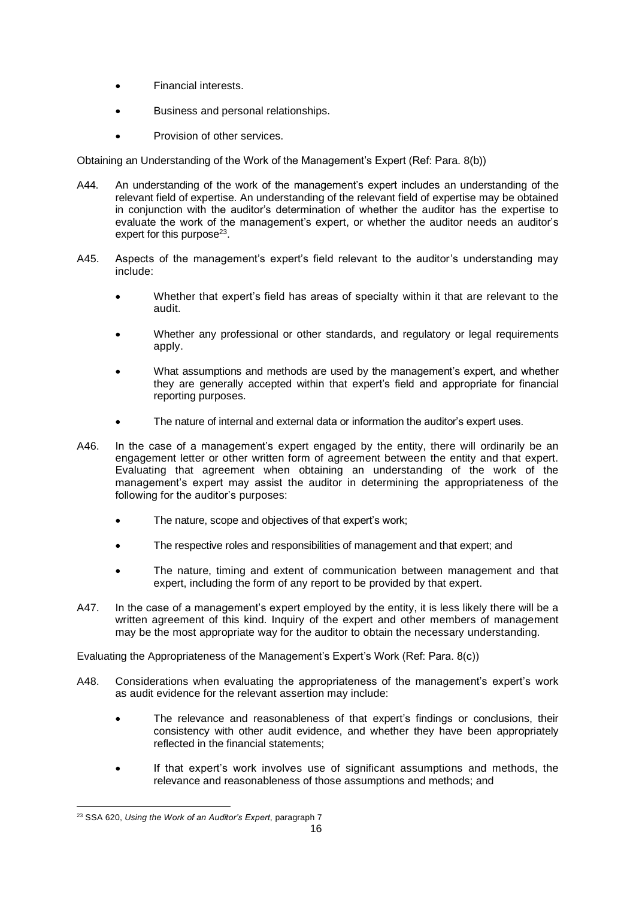- Financial interests.
- Business and personal relationships.
- Provision of other services.

Obtaining an Understanding of the Work of the Management's Expert (Ref: Para. 8(b))

- A44. An understanding of the work of the management's expert includes an understanding of the relevant field of expertise. An understanding of the relevant field of expertise may be obtained in conjunction with the auditor's determination of whether the auditor has the expertise to evaluate the work of the management's expert, or whether the auditor needs an auditor's expert for this purpose $^{23}$ .
- A45. Aspects of the management's expert's field relevant to the auditor's understanding may include:
	- Whether that expert's field has areas of specialty within it that are relevant to the audit.
	- Whether any professional or other standards, and regulatory or legal requirements apply.
	- What assumptions and methods are used by the management's expert, and whether they are generally accepted within that expert's field and appropriate for financial reporting purposes.
	- The nature of internal and external data or information the auditor's expert uses.
- A46. In the case of a management's expert engaged by the entity, there will ordinarily be an engagement letter or other written form of agreement between the entity and that expert. Evaluating that agreement when obtaining an understanding of the work of the management's expert may assist the auditor in determining the appropriateness of the following for the auditor's purposes:
	- The nature, scope and objectives of that expert's work;
	- The respective roles and responsibilities of management and that expert; and
	- The nature, timing and extent of communication between management and that expert, including the form of any report to be provided by that expert.
- A47. In the case of a management's expert employed by the entity, it is less likely there will be a written agreement of this kind. Inquiry of the expert and other members of management may be the most appropriate way for the auditor to obtain the necessary understanding.

Evaluating the Appropriateness of the Management's Expert's Work (Ref: Para. 8(c))

- A48. Considerations when evaluating the appropriateness of the management's expert's work as audit evidence for the relevant assertion may include:
	- The relevance and reasonableness of that expert's findings or conclusions, their consistency with other audit evidence, and whether they have been appropriately reflected in the financial statements;
	- If that expert's work involves use of significant assumptions and methods, the relevance and reasonableness of those assumptions and methods; and

<sup>23</sup> SSA 620, *Using the Work of an Auditor's Expert*, paragraph 7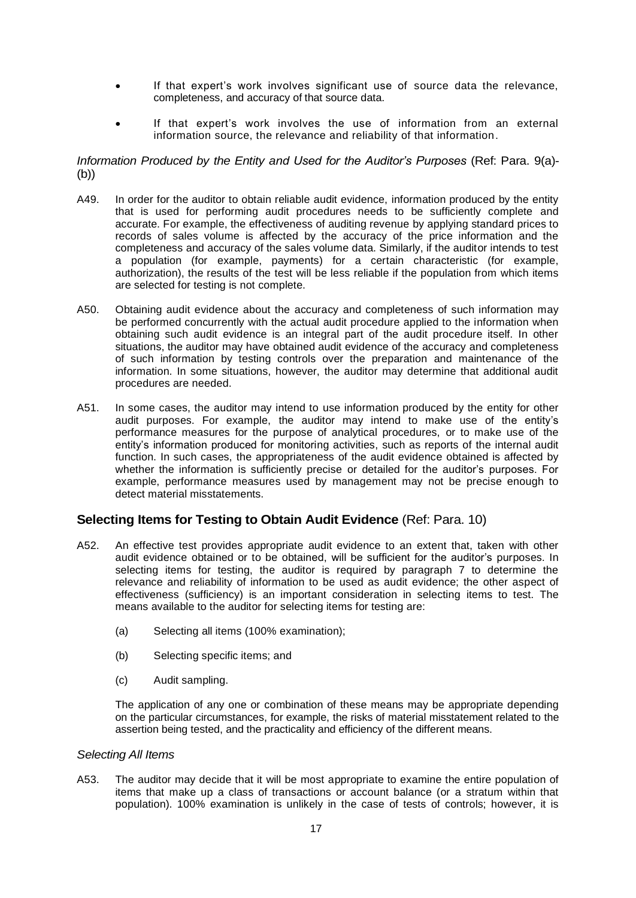- If that expert's work involves significant use of source data the relevance, completeness, and accuracy of that source data.
- If that expert's work involves the use of information from an external information source, the relevance and reliability of that information.

*Information Produced by the Entity and Used for the Auditor's Purposes* (Ref: Para. 9(a)- (b))

- A49. In order for the auditor to obtain reliable audit evidence, information produced by the entity that is used for performing audit procedures needs to be sufficiently complete and accurate. For example, the effectiveness of auditing revenue by applying standard prices to records of sales volume is affected by the accuracy of the price information and the completeness and accuracy of the sales volume data. Similarly, if the auditor intends to test a population (for example, payments) for a certain characteristic (for example, authorization), the results of the test will be less reliable if the population from which items are selected for testing is not complete.
- A50. Obtaining audit evidence about the accuracy and completeness of such information may be performed concurrently with the actual audit procedure applied to the information when obtaining such audit evidence is an integral part of the audit procedure itself. In other situations, the auditor may have obtained audit evidence of the accuracy and completeness of such information by testing controls over the preparation and maintenance of the information. In some situations, however, the auditor may determine that additional audit procedures are needed.
- A51. In some cases, the auditor may intend to use information produced by the entity for other audit purposes. For example, the auditor may intend to make use of the entity's performance measures for the purpose of analytical procedures, or to make use of the entity's information produced for monitoring activities, such as reports of the internal audit function. In such cases, the appropriateness of the audit evidence obtained is affected by whether the information is sufficiently precise or detailed for the auditor's purposes. For example, performance measures used by management may not be precise enough to detect material misstatements.

#### **Selecting Items for Testing to Obtain Audit Evidence** (Ref: Para. 10)

- A52. An effective test provides appropriate audit evidence to an extent that, taken with other audit evidence obtained or to be obtained, will be sufficient for the auditor's purposes. In selecting items for testing, the auditor is required by paragraph 7 to determine the relevance and reliability of information to be used as audit evidence; the other aspect of effectiveness (sufficiency) is an important consideration in selecting items to test. The means available to the auditor for selecting items for testing are:
	- (a) Selecting all items (100% examination);
	- (b) Selecting specific items; and
	- (c) Audit sampling.

The application of any one or combination of these means may be appropriate depending on the particular circumstances, for example, the risks of material misstatement related to the assertion being tested, and the practicality and efficiency of the different means.

#### *Selecting All Items*

A53. The auditor may decide that it will be most appropriate to examine the entire population of items that make up a class of transactions or account balance (or a stratum within that population). 100% examination is unlikely in the case of tests of controls; however, it is